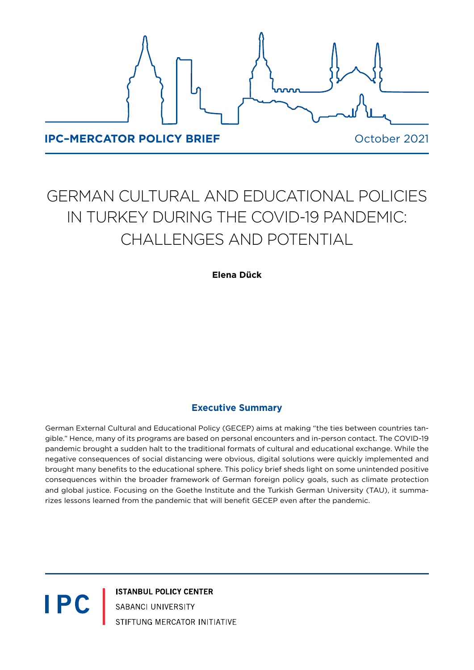

# GERMAN CULTURAL AND EDUCATIONAL POLICIES IN TURKEY DURING THE COVID-19 PANDEMIC: CHALLENGES AND POTENTIAL

**Elena Dück**

## **Executive Summary**

German External Cultural and Educational Policy (GECEP) aims at making "the ties between countries tangible." Hence, many of its programs are based on personal encounters and in-person contact. The COVID-19 pandemic brought a sudden halt to the traditional formats of cultural and educational exchange. While the negative consequences of social distancing were obvious, digital solutions were quickly implemented and brought many benefits to the educational sphere. This policy brief sheds light on some unintended positive consequences within the broader framework of German foreign policy goals, such as climate protection and global justice. Focusing on the Goethe Institute and the Turkish German University (TAU), it summarizes lessons learned from the pandemic that will benefit GECEP even after the pandemic.

> **ISTANBUL POLICY CENTER** SABANCI UNIVERSITY STIFTUNG MERCATOR INITIATIVE

**IPC**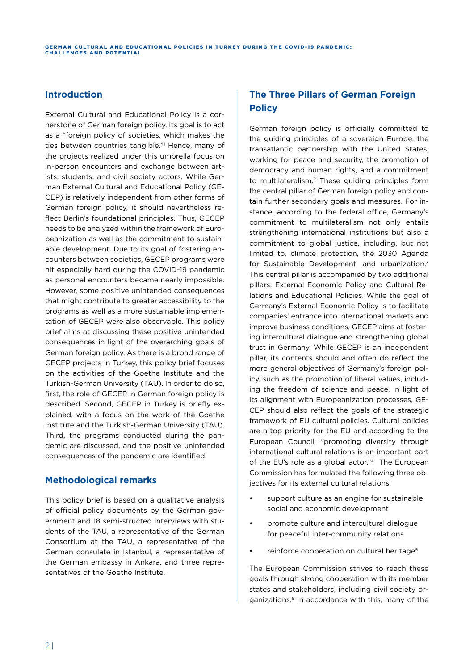#### **Introduction**

External Cultural and Educational Policy is a cornerstone of German foreign policy. Its goal is to act as a "foreign policy of societies, which makes the ties between countries tangible."1 Hence, many of the projects realized under this umbrella focus on in-person encounters and exchange between artists, students, and civil society actors. While German External Cultural and Educational Policy (GE-CEP) is relatively independent from other forms of German foreign policy, it should nevertheless reflect Berlin's foundational principles. Thus, GECEP needs to be analyzed within the framework of Europeanization as well as the commitment to sustainable development. Due to its goal of fostering encounters between societies, GECEP programs were hit especially hard during the COVID-19 pandemic as personal encounters became nearly impossible. However, some positive unintended consequences that might contribute to greater accessibility to the programs as well as a more sustainable implementation of GECEP were also observable. This policy brief aims at discussing these positive unintended consequences in light of the overarching goals of German foreign policy. As there is a broad range of GECEP projects in Turkey, this policy brief focuses on the activities of the Goethe Institute and the Turkish-German University (TAU). In order to do so, first, the role of GECEP in German foreign policy is described. Second, GECEP in Turkey is briefly explained, with a focus on the work of the Goethe Institute and the Turkish-German University (TAU). Third, the programs conducted during the pandemic are discussed, and the positive unintended consequences of the pandemic are identified.

## **Methodological remarks**

This policy brief is based on a qualitative analysis of official policy documents by the German government and 18 semi-structed interviews with students of the TAU, a representative of the German Consortium at the TAU, a representative of the German consulate in Istanbul, a representative of the German embassy in Ankara, and three representatives of the Goethe Institute.

# **The Three Pillars of German Foreign Policy**

German foreign policy is officially committed to the guiding principles of a sovereign Europe, the transatlantic partnership with the United States, working for peace and security, the promotion of democracy and human rights, and a commitment to multilateralism.<sup>2</sup> These guiding principles form the central pillar of German foreign policy and contain further secondary goals and measures. For instance, according to the federal office, Germany's commitment to multilateralism not only entails strengthening international institutions but also a commitment to global justice, including, but not limited to, climate protection, the 2030 Agenda for Sustainable Development, and urbanization.3 This central pillar is accompanied by two additional pillars: External Economic Policy and Cultural Relations and Educational Policies. While the goal of Germany's External Economic Policy is to facilitate companies' entrance into international markets and improve business conditions, GECEP aims at fostering intercultural dialogue and strengthening global trust in Germany. While GECEP is an independent pillar, its contents should and often do reflect the more general objectives of Germany's foreign policy, such as the promotion of liberal values, including the freedom of science and peace. In light of its alignment with Europeanization processes, GE-CEP should also reflect the goals of the strategic framework of EU cultural policies. Cultural policies are a top priority for the EU and according to the European Council: "promoting diversity through international cultural relations is an important part of the EU's role as a global actor."4 The European Commission has formulated the following three objectives for its external cultural relations:

- support culture as an engine for sustainable social and economic development
- promote culture and intercultural dialogue for peaceful inter-community relations
- reinforce cooperation on cultural heritage<sup>5</sup>

The European Commission strives to reach these goals through strong cooperation with its member states and stakeholders, including civil society organizations.<sup>6</sup> In accordance with this, many of the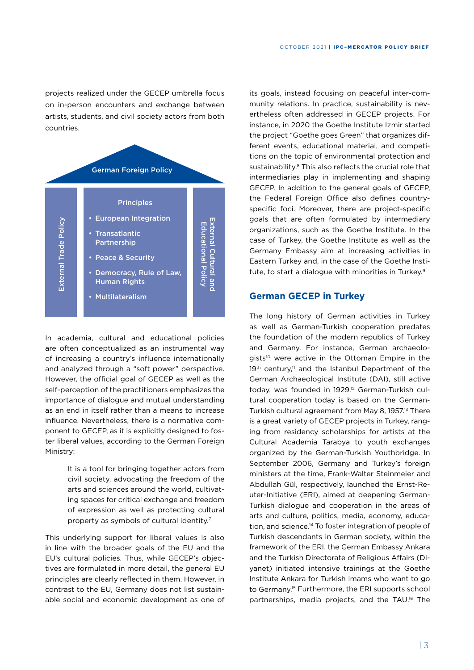projects realized under the GECEP umbrella focus on in-person encounters and exchange between artists, students, and civil society actors from both countries.



In academia, cultural and educational policies are often conceptualized as an instrumental way of increasing a country's influence internationally and analyzed through a "soft power" perspective. However, the official goal of GECEP as well as the self-perception of the practitioners emphasizes the importance of dialogue and mutual understanding as an end in itself rather than a means to increase influence. Nevertheless, there is a normative component to GECEP, as it is explicitly designed to foster liberal values, according to the German Foreign Ministry:

> It is a tool for bringing together actors from civil society, advocating the freedom of the arts and sciences around the world, cultivating spaces for critical exchange and freedom of expression as well as protecting cultural property as symbols of cultural identity.7

This underlying support for liberal values is also in line with the broader goals of the EU and the EU's cultural policies. Thus, while GECEP's objectives are formulated in more detail, the general EU principles are clearly reflected in them. However, in contrast to the EU, Germany does not list sustainable social and economic development as one of

its goals, instead focusing on peaceful inter-community relations. In practice, sustainability is nevertheless often addressed in GECEP projects. For instance, in 2020 the Goethe Institute Izmir started the project "Goethe goes Green" that organizes different events, educational material, and competitions on the topic of environmental protection and sustainability.<sup>8</sup> This also reflects the crucial role that intermediaries play in implementing and shaping GECEP. In addition to the general goals of GECEP, the Federal Foreign Office also defines countryspecific foci. Moreover, there are project-specific goals that are often formulated by intermediary organizations, such as the Goethe Institute. In the case of Turkey, the Goethe Institute as well as the Germany Embassy aim at increasing activities in Eastern Turkey and, in the case of the Goethe Institute, to start a dialogue with minorities in Turkey.<sup>9</sup>

#### **German GECEP in Turkey**

The long history of German activities in Turkey as well as German-Turkish cooperation predates the foundation of the modern republics of Turkey and Germany. For instance, German archaeologists<sup>10</sup> were active in the Ottoman Empire in the 19<sup>th</sup> century,<sup>11</sup> and the Istanbul Department of the German Archaeological Institute (DAI), still active today, was founded in 1929.12 German-Turkish cultural cooperation today is based on the German-Turkish cultural agreement from May 8, 1957.13 There is a great variety of GECEP projects in Turkey, ranging from residency scholarships for artists at the Cultural Academia Tarabya to youth exchanges organized by the German-Turkish Youthbridge. In September 2006, Germany and Turkey's foreign ministers at the time, Frank-Walter Steinmeier and Abdullah Gül, respectively, launched the Ernst-Reuter-Initiative (ERI), aimed at deepening German-Turkish dialogue and cooperation in the areas of arts and culture, politics, media, economy, education, and science.14 To foster integration of people of Turkish descendants in German society, within the framework of the ERI, the German Embassy Ankara and the Turkish Directorate of Religious Affairs (Diyanet) initiated intensive trainings at the Goethe Institute Ankara for Turkish imams who want to go to Germany.15 Furthermore, the ERI supports school partnerships, media projects, and the TAU.<sup>16</sup> The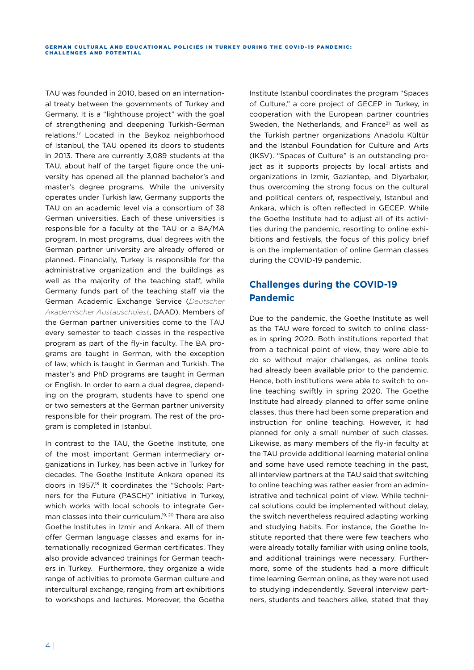TAU was founded in 2010, based on an international treaty between the governments of Turkey and Germany. It is a "lighthouse project" with the goal of strengthening and deepening Turkish-German relations.17 Located in the Beykoz neighborhood of Istanbul, the TAU opened its doors to students in 2013. There are currently 3,089 students at the TAU, about half of the target figure once the university has opened all the planned bachelor's and master's degree programs. While the university operates under Turkish law, Germany supports the TAU on an academic level via a consortium of 38 German universities. Each of these universities is responsible for a faculty at the TAU or a BA/MA program. In most programs, dual degrees with the German partner university are already offered or planned. Financially, Turkey is responsible for the administrative organization and the buildings as well as the majority of the teaching staff, while Germany funds part of the teaching staff via the German Academic Exchange Service (*Deutscher Akademischer Austauschdiest*, DAAD). Members of the German partner universities come to the TAU every semester to teach classes in the respective program as part of the fly-in faculty. The BA programs are taught in German, with the exception of law, which is taught in German and Turkish. The master's and PhD programs are taught in German or English. In order to earn a dual degree, depending on the program, students have to spend one or two semesters at the German partner university responsible for their program. The rest of the program is completed in Istanbul.

In contrast to the TAU, the Goethe Institute, one of the most important German intermediary organizations in Turkey, has been active in Turkey for decades. The Goethe Institute Ankara opened its doors in 1957.18 It coordinates the "Schools: Partners for the Future (PASCH)" initiative in Turkey, which works with local schools to integrate German classes into their curriculum.<sup>19, 20</sup> There are also Goethe Institutes in Izmir and Ankara. All of them offer German language classes and exams for internationally recognized German certificates. They also provide advanced trainings for German teachers in Turkey. Furthermore, they organize a wide range of activities to promote German culture and intercultural exchange, ranging from art exhibitions to workshops and lectures. Moreover, the Goethe

Institute Istanbul coordinates the program "Spaces of Culture," a core project of GECEP in Turkey, in cooperation with the European partner countries Sweden, the Netherlands, and France<sup>21</sup> as well as the Turkish partner organizations Anadolu Kültür and the Istanbul Foundation for Culture and Arts (IKSV). "Spaces of Culture" is an outstanding project as it supports projects by local artists and organizations in Izmir, Gaziantep, and Diyarbakır, thus overcoming the strong focus on the cultural and political centers of, respectively, Istanbul and Ankara, which is often reflected in GECEP. While the Goethe Institute had to adjust all of its activities during the pandemic, resorting to online exhibitions and festivals, the focus of this policy brief is on the implementation of online German classes during the COVID-19 pandemic.

# **Challenges during the COVID-19 Pandemic**

Due to the pandemic, the Goethe Institute as well as the TAU were forced to switch to online classes in spring 2020. Both institutions reported that from a technical point of view, they were able to do so without major challenges, as online tools had already been available prior to the pandemic. Hence, both institutions were able to switch to online teaching swiftly in spring 2020. The Goethe Institute had already planned to offer some online classes, thus there had been some preparation and instruction for online teaching. However, it had planned for only a small number of such classes. Likewise, as many members of the fly-in faculty at the TAU provide additional learning material online and some have used remote teaching in the past, all interview partners at the TAU said that switching to online teaching was rather easier from an administrative and technical point of view. While technical solutions could be implemented without delay, the switch nevertheless required adapting working and studying habits. For instance, the Goethe Institute reported that there were few teachers who were already totally familiar with using online tools, and additional trainings were necessary. Furthermore, some of the students had a more difficult time learning German online, as they were not used to studying independently. Several interview partners, students and teachers alike, stated that they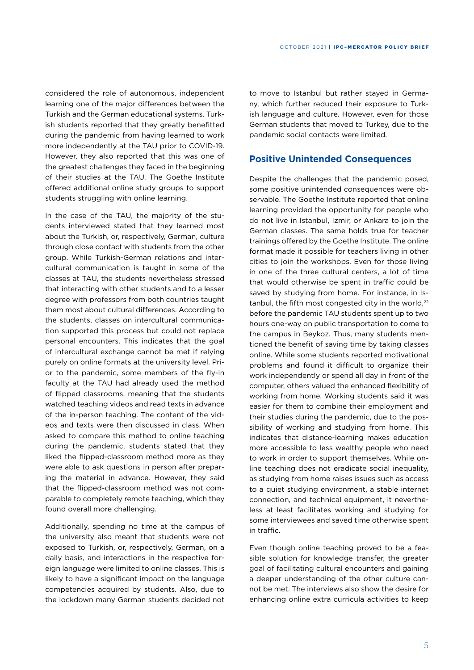considered the role of autonomous, independent learning one of the major differences between the Turkish and the German educational systems. Turkish students reported that they greatly benefitted during the pandemic from having learned to work more independently at the TAU prior to COVID-19. However, they also reported that this was one of the greatest challenges they faced in the beginning of their studies at the TAU. The Goethe Institute offered additional online study groups to support students struggling with online learning.

In the case of the TAU, the majority of the students interviewed stated that they learned most about the Turkish, or, respectively, German, culture through close contact with students from the other group. While Turkish-German relations and intercultural communication is taught in some of the classes at TAU, the students nevertheless stressed that interacting with other students and to a lesser degree with professors from both countries taught them most about cultural differences. According to the students, classes on intercultural communication supported this process but could not replace personal encounters. This indicates that the goal of intercultural exchange cannot be met if relying purely on online formats at the university level. Prior to the pandemic, some members of the fly-in faculty at the TAU had already used the method of flipped classrooms, meaning that the students watched teaching videos and read texts in advance of the in-person teaching. The content of the videos and texts were then discussed in class. When asked to compare this method to online teaching during the pandemic, students stated that they liked the flipped-classroom method more as they were able to ask questions in person after preparing the material in advance. However, they said that the flipped-classroom method was not comparable to completely remote teaching, which they found overall more challenging.

Additionally, spending no time at the campus of the university also meant that students were not exposed to Turkish, or, respectively, German, on a daily basis, and interactions in the respective foreign language were limited to online classes. This is likely to have a significant impact on the language competencies acquired by students. Also, due to the lockdown many German students decided not

to move to Istanbul but rather stayed in Germany, which further reduced their exposure to Turkish language and culture. However, even for those German students that moved to Turkey, due to the pandemic social contacts were limited.

#### **Positive Unintended Consequences**

Despite the challenges that the pandemic posed, some positive unintended consequences were observable. The Goethe Institute reported that online learning provided the opportunity for people who do not live in Istanbul, Izmir, or Ankara to join the German classes. The same holds true for teacher trainings offered by the Goethe Institute. The online format made it possible for teachers living in other cities to join the workshops. Even for those living in one of the three cultural centers, a lot of time that would otherwise be spent in traffic could be saved by studying from home. For instance, in Istanbul, the fifth most congested city in the world.<sup>22</sup> before the pandemic TAU students spent up to two hours one-way on public transportation to come to the campus in Beykoz. Thus, many students mentioned the benefit of saving time by taking classes online. While some students reported motivational problems and found it difficult to organize their work independently or spend all day in front of the computer, others valued the enhanced flexibility of working from home. Working students said it was easier for them to combine their employment and their studies during the pandemic, due to the possibility of working and studying from home. This indicates that distance-learning makes education more accessible to less wealthy people who need to work in order to support themselves. While online teaching does not eradicate social inequality, as studying from home raises issues such as access to a quiet studying environment, a stable internet connection, and technical equipment, it nevertheless at least facilitates working and studying for some interviewees and saved time otherwise spent in traffic.

Even though online teaching proved to be a feasible solution for knowledge transfer, the greater goal of facilitating cultural encounters and gaining a deeper understanding of the other culture cannot be met. The interviews also show the desire for enhancing online extra curricula activities to keep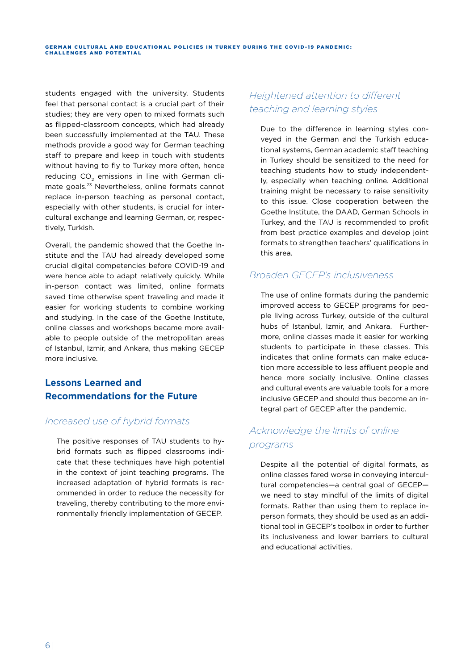students engaged with the university. Students feel that personal contact is a crucial part of their studies; they are very open to mixed formats such as flipped-classroom concepts, which had already been successfully implemented at the TAU. These methods provide a good way for German teaching staff to prepare and keep in touch with students without having to fly to Turkey more often, hence reducing CO<sub>2</sub> emissions in line with German climate goals.23 Nevertheless, online formats cannot replace in-person teaching as personal contact, especially with other students, is crucial for intercultural exchange and learning German, or, respectively, Turkish.

Overall, the pandemic showed that the Goethe Institute and the TAU had already developed some crucial digital competencies before COVID-19 and were hence able to adapt relatively quickly. While in-person contact was limited, online formats saved time otherwise spent traveling and made it easier for working students to combine working and studying. In the case of the Goethe Institute, online classes and workshops became more available to people outside of the metropolitan areas of Istanbul, Izmir, and Ankara, thus making GECEP more inclusive.

# **Lessons Learned and Recommendations for the Future**

## *Increased use of hybrid formats*

The positive responses of TAU students to hybrid formats such as flipped classrooms indicate that these techniques have high potential in the context of joint teaching programs. The increased adaptation of hybrid formats is recommended in order to reduce the necessity for traveling, thereby contributing to the more environmentally friendly implementation of GECEP.

## *Heightened attention to different teaching and learning styles*

Due to the difference in learning styles conveyed in the German and the Turkish educational systems, German academic staff teaching in Turkey should be sensitized to the need for teaching students how to study independently, especially when teaching online. Additional training might be necessary to raise sensitivity to this issue. Close cooperation between the Goethe Institute, the DAAD, German Schools in Turkey, and the TAU is recommended to profit from best practice examples and develop joint formats to strengthen teachers' qualifications in this area.

# *Broaden GECEP's inclusiveness*

The use of online formats during the pandemic improved access to GECEP programs for people living across Turkey, outside of the cultural hubs of Istanbul, Izmir, and Ankara. Furthermore, online classes made it easier for working students to participate in these classes. This indicates that online formats can make education more accessible to less affluent people and hence more socially inclusive. Online classes and cultural events are valuable tools for a more inclusive GECEP and should thus become an integral part of GECEP after the pandemic.

# *Acknowledge the limits of online programs*

Despite all the potential of digital formats, as online classes fared worse in conveying intercultural competencies—a central goal of GECEP we need to stay mindful of the limits of digital formats. Rather than using them to replace inperson formats, they should be used as an additional tool in GECEP's toolbox in order to further its inclusiveness and lower barriers to cultural and educational activities.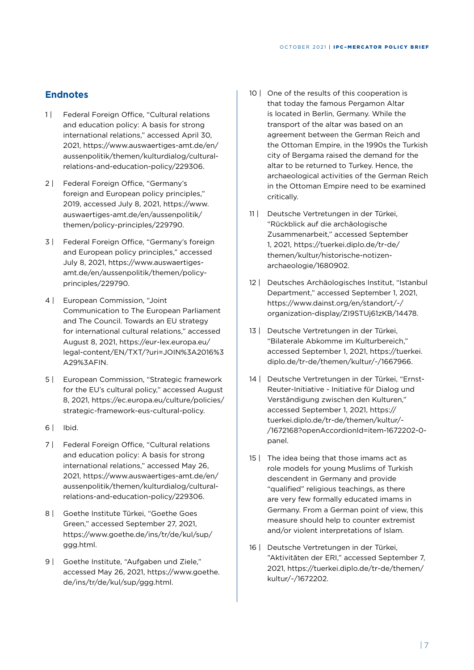#### **Endnotes**

- 1 | Federal Foreign Office, "Cultural relations and education policy: A basis for strong international relations," accessed April 30, 2021, https://www.auswaertiges-amt.de/en/ aussenpolitik/themen/kulturdialog/culturalrelations-and-education-policy/229306.
- 2 | Federal Foreign Office, "Germany's foreign and European policy principles," 2019, accessed July 8, 2021, https://www. auswaertiges-amt.de/en/aussenpolitik/ themen/policy-principles/229790.
- 3 | Federal Foreign Office, "Germany's foreign and European policy principles," accessed July 8, 2021, https://www.auswaertigesamt.de/en/aussenpolitik/themen/policyprinciples/229790.
- 4 | European Commission, "Joint Communication to The European Parliament and The Council. Towards an EU strategy for international cultural relations," accessed August 8, 2021, https://eur-lex.europa.eu/ legal-content/EN/TXT/?uri=JOIN%3A2016%3 A29%3AFIN.
- 5 | European Commission, "Strategic framework for the EU's cultural policy," accessed August 8, 2021, https://ec.europa.eu/culture/policies/ strategic-framework-eus-cultural-policy.
- 6 | Ibid.
- 7 | Federal Foreign Office, "Cultural relations and education policy: A basis for strong international relations," accessed May 26, 2021, https://www.auswaertiges-amt.de/en/ aussenpolitik/themen/kulturdialog/culturalrelations-and-education-policy/229306.
- 8 | Goethe Institute Türkei, "Goethe Goes Green," accessed September 27, 2021, https://www.goethe.de/ins/tr/de/kul/sup/ ggg.html.
- 9 | Goethe Institute, "Aufgaben und Ziele," accessed May 26, 2021, https://www.goethe. de/ins/tr/de/kul/sup/ggg.html.
- 10 | One of the results of this cooperation is that today the famous Pergamon Altar is located in Berlin, Germany. While the transport of the altar was based on an agreement between the German Reich and the Ottoman Empire, in the 1990s the Turkish city of Bergama raised the demand for the altar to be returned to Turkey. Hence, the archaeological activities of the German Reich in the Ottoman Empire need to be examined critically.
- 11 | Deutsche Vertretungen in der Türkei, "Rückblick auf die archäologische Zusammenarbeit," accessed September 1, 2021, https://tuerkei.diplo.de/tr-de/ themen/kultur/historische-notizenarchaeologie/1680902.
- 12 | Deutsches Archäologisches Institut, "Istanbul Department," accessed September 1, 2021, https://www.dainst.org/en/standort/-/ organization-display/ZI9STUj61zKB/14478.
- 13 | Deutsche Vertretungen in der Türkei, "Bilaterale Abkomme im Kulturbereich," accessed September 1, 2021, https://tuerkei. diplo.de/tr-de/themen/kultur/-/1667966.
- 14 | Deutsche Vertretungen in der Türkei, "Ernst-Reuter-Initiative - Initiative für Dialog und Verständigung zwischen den Kulturen," accessed September 1, 2021, https:// tuerkei.diplo.de/tr-de/themen/kultur/- /1672168?openAccordionId=item-1672202-0 panel.
- 15 | The idea being that those imams act as role models for young Muslims of Turkish descendent in Germany and provide "qualified" religious teachings, as there are very few formally educated imams in Germany. From a German point of view, this measure should help to counter extremist and/or violent interpretations of Islam.
- 16 | Deutsche Vertretungen in der Türkei, "Aktivitäten der ERI," accessed September 7, 2021, https://tuerkei.diplo.de/tr-de/themen/ kultur/-/1672202.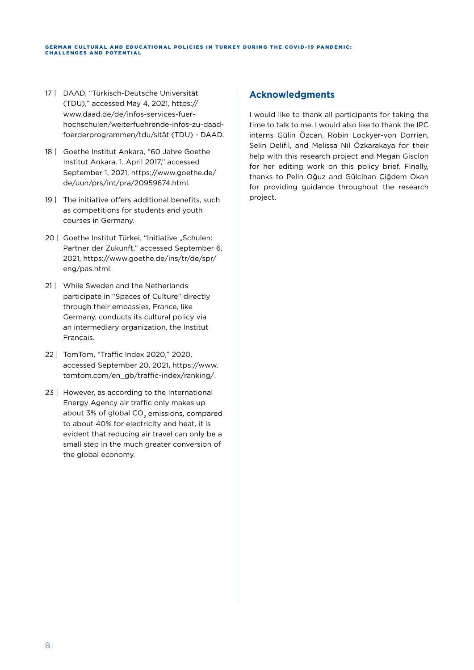GERMAN CULTURAL AND EDUCATIONAL POLICIES IN TURKEY DURING THE COVID-19 PANDEMIC: **CHALLENGES AND POTENTIAL** 

- 17 | DAAD, "Türkisch-Deutsche Universität (TDU)," accessed May 4, 2021, https:// www.daad.de/de/infos-services-fuerhochschulen/weiterfuehrende-infos-zu-daadfoerderprogrammen/tdu/sität (TDU) - DAAD.
- 18 | Goethe Institut Ankara, "60 Jahre Goethe Institut Ankara. 1. April 2017," accessed September 1, 2021, https://www.goethe.de/ de/uun/prs/int/pra/20959674.html.
- 19 | The initiative offers additional benefits, such as competitions for students and youth courses in Germany.
- 20 | Goethe Institut Türkei, "Initiative "Schulen: Partner der Zukunft," accessed September 6, 2021, https://www.goethe.de/ins/tr/de/spr/ eng/pas.html.
- 21 | While Sweden and the Netherlands participate in "Spaces of Culture" directly through their embassies, France, like Germany, conducts its cultural policy via an intermediary organization, the Institut Français.
- 22 | TomTom, "Traffic Index 2020," 2020, accessed September 20, 2021, https://www. tomtom.com/en\_gb/traffic-index/ranking/.
- 23 | However, as according to the International Energy Agency air traffic only makes up about 3% of global  $CO<sub>2</sub>$  emissions, compared to about 40% for electricity and heat, it is evident that reducing air travel can only be a small step in the much greater conversion of the global economy.

#### **Acknowledgments**

I would like to thank all participants for taking the time to talk to me. I would also like to thank the IPC interns Gülin Özcan, Robin Lockyer-von Dorrien, Selin Delifil, and Melissa Nil Özkarakaya for their help with this research project and Megan Gisclon for her editing work on this policy brief. Finally, thanks to Pelin Oğuz and Gülcihan Çiğdem Okan for providing guidance throughout the research project.